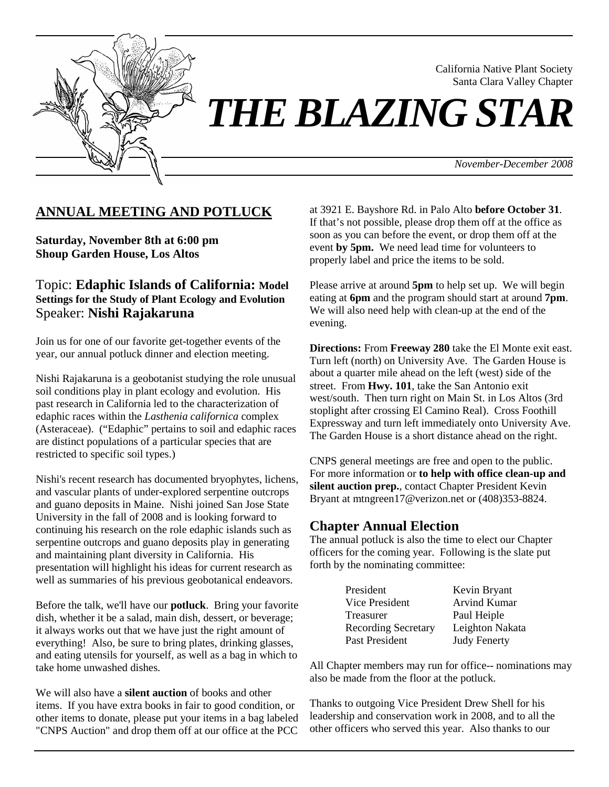

California Native Plant Society Santa Clara Valley Chapter

# *THE BLAZING STAR*

*November-December 2008*

## **ANNUAL MEETING AND POTLUCK**

**Saturday, November 8th at 6:00 pm Shoup Garden House, Los Altos**

Topic: **Edaphic Islands of California: Model Settings for the Study of Plant Ecology and Evolution**  Speaker: **Nishi Rajakaruna** 

Join us for one of our favorite get-together events of the year, our annual potluck dinner and election meeting.

Nishi Rajakaruna is a geobotanist studying the role unusual soil conditions play in plant ecology and evolution. His past research in California led to the characterization of edaphic races within the *Lasthenia californica* complex (Asteraceae). ("Edaphic" pertains to soil and edaphic races are distinct populations of a particular species that are restricted to specific soil types.)

Nishi's recent research has documented bryophytes, lichens, and vascular plants of under-explored serpentine outcrops and guano deposits in Maine. Nishi joined San Jose State University in the fall of 2008 and is looking forward to continuing his research on the role edaphic islands such as serpentine outcrops and guano deposits play in generating and maintaining plant diversity in California. His presentation will highlight his ideas for current research as well as summaries of his previous geobotanical endeavors.

Before the talk, we'll have our **potluck**. Bring your favorite dish, whether it be a salad, main dish, dessert, or beverage; it always works out that we have just the right amount of everything! Also, be sure to bring plates, drinking glasses, and eating utensils for yourself, as well as a bag in which to take home unwashed dishes.

We will also have a **silent auction** of books and other items. If you have extra books in fair to good condition, or other items to donate, please put your items in a bag labeled "CNPS Auction" and drop them off at our office at the PCC at 3921 E. Bayshore Rd. in Palo Alto **before October 31**. If that's not possible, please drop them off at the office as soon as you can before the event, or drop them off at the event **by 5pm.** We need lead time for volunteers to properly label and price the items to be sold.

Please arrive at around **5pm** to help set up. We will begin eating at **6pm** and the program should start at around **7pm**. We will also need help with clean-up at the end of the evening.

**Directions:** From **Freeway 280** take the El Monte exit east. Turn left (north) on University Ave. The Garden House is about a quarter mile ahead on the left (west) side of the street. From **Hwy. 101**, take the San Antonio exit west/south. Then turn right on Main St. in Los Altos (3rd stoplight after crossing El Camino Real). Cross Foothill Expressway and turn left immediately onto University Ave. The Garden House is a short distance ahead on the right.

CNPS general meetings are free and open to the public. For more information or **to help with office clean-up and silent auction prep.**, contact Chapter President Kevin Bryant at mtngreen17@verizon.net or (408)353-8824.

### **Chapter Annual Election**

The annual potluck is also the time to elect our Chapter officers for the coming year. Following is the slate put forth by the nominating committee:

| President                  | Kevin Bryant        |
|----------------------------|---------------------|
| Vice President             | Arvind Kumar        |
| Treasurer                  | Paul Heiple         |
| <b>Recording Secretary</b> | Leighton Nakata     |
| Past President             | <b>Judy Fenerty</b> |

All Chapter members may run for office-- nominations may also be made from the floor at the potluck.

Thanks to outgoing Vice President Drew Shell for his leadership and conservation work in 2008, and to all the other officers who served this year. Also thanks to our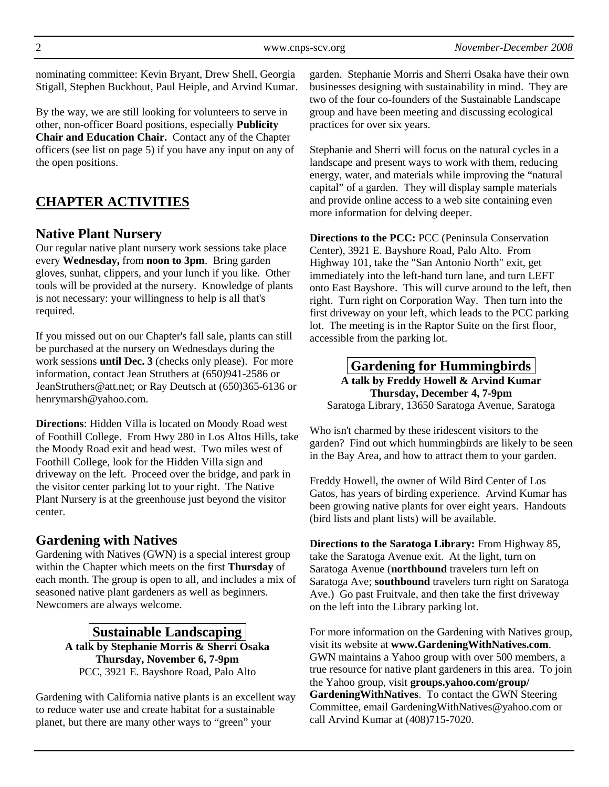nominating committee: Kevin Bryant, Drew Shell, Georgia Stigall, Stephen Buckhout, Paul Heiple, and Arvind Kumar.

By the way, we are still looking for volunteers to serve in other, non-officer Board positions, especially **Publicity Chair and Education Chair.** Contact any of the Chapter officers (see list on page 5) if you have any input on any of the open positions.

# **CHAPTER ACTIVITIES**

## **Native Plant Nursery**

Our regular native plant nursery work sessions take place every **Wednesday,** from **noon to 3pm**. Bring garden gloves, sunhat, clippers, and your lunch if you like. Other tools will be provided at the nursery. Knowledge of plants is not necessary: your willingness to help is all that's required.

If you missed out on our Chapter's fall sale, plants can still be purchased at the nursery on Wednesdays during the work sessions **until Dec. 3** (checks only please). For more information, contact Jean Struthers at (650)941-2586 or JeanStruthers@att.net; or Ray Deutsch at (650)365-6136 or henrymarsh@yahoo.com.

**Directions**: Hidden Villa is located on Moody Road west of Foothill College. From Hwy 280 in Los Altos Hills, take the Moody Road exit and head west. Two miles west of Foothill College, look for the Hidden Villa sign and driveway on the left. Proceed over the bridge, and park in the visitor center parking lot to your right. The Native Plant Nursery is at the greenhouse just beyond the visitor center.

## **Gardening with Natives**

Gardening with Natives (GWN) is a special interest group within the Chapter which meets on the first **Thursday** of each month. The group is open to all, and includes a mix of seasoned native plant gardeners as well as beginners. Newcomers are always welcome.

## **Sustainable Landscaping**

**A talk by Stephanie Morris & Sherri Osaka Thursday, November 6, 7-9pm**  PCC, 3921 E. Bayshore Road, Palo Alto

Gardening with California native plants is an excellent way to reduce water use and create habitat for a sustainable planet, but there are many other ways to "green" your

garden. Stephanie Morris and Sherri Osaka have their own businesses designing with sustainability in mind. They are two of the four co-founders of the Sustainable Landscape group and have been meeting and discussing ecological practices for over six years.

Stephanie and Sherri will focus on the natural cycles in a landscape and present ways to work with them, reducing energy, water, and materials while improving the "natural capital" of a garden. They will display sample materials and provide online access to a web site containing even more information for delving deeper.

**Directions to the PCC:** PCC (Peninsula Conservation Center), 3921 E. Bayshore Road, Palo Alto. From Highway 101, take the "San Antonio North" exit, get immediately into the left-hand turn lane, and turn LEFT onto East Bayshore. This will curve around to the left, then right. Turn right on Corporation Way. Then turn into the first driveway on your left, which leads to the PCC parking lot. The meeting is in the Raptor Suite on the first floor, accessible from the parking lot.

**Gardening for Hummingbirds A talk by Freddy Howell & Arvind Kumar Thursday, December 4, 7-9pm**  Saratoga Library, 13650 Saratoga Avenue, Saratoga

Who isn't charmed by these iridescent visitors to the garden? Find out which hummingbirds are likely to be seen in the Bay Area, and how to attract them to your garden.

Freddy Howell, the owner of Wild Bird Center of Los Gatos, has years of birding experience. Arvind Kumar has been growing native plants for over eight years. Handouts (bird lists and plant lists) will be available.

**Directions to the Saratoga Library:** From Highway 85, take the Saratoga Avenue exit. At the light, turn on Saratoga Avenue (**northbound** travelers turn left on Saratoga Ave; **southbound** travelers turn right on Saratoga Ave.) Go past Fruitvale, and then take the first driveway on the left into the Library parking lot.

For more information on the Gardening with Natives group, visit its website at **www.GardeningWithNatives.com**. GWN maintains a Yahoo group with over 500 members, a true resource for native plant gardeners in this area. To join the Yahoo group, visit **groups.yahoo.com/group/ GardeningWithNatives**. To contact the GWN Steering Committee, email GardeningWithNatives@yahoo.com or call Arvind Kumar at (408)715-7020.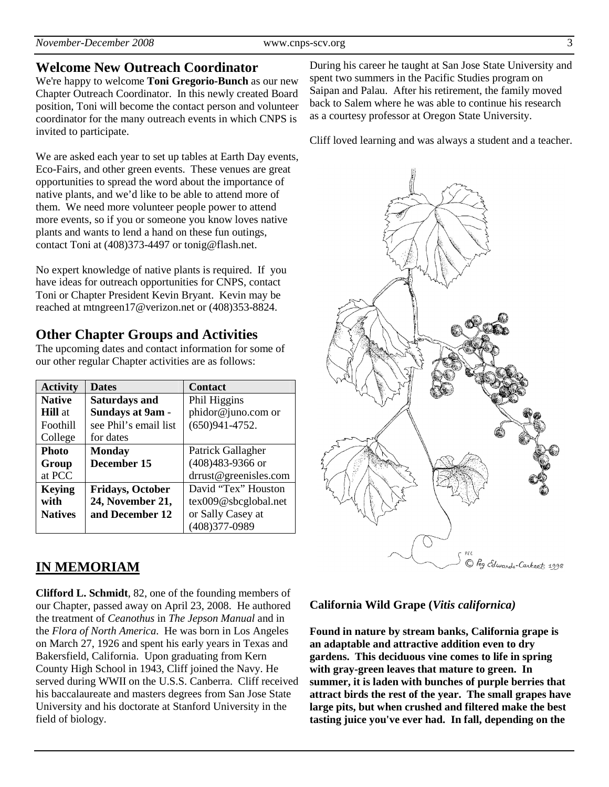## **Welcome New Outreach Coordinator**

We're happy to welcome **Toni Gregorio-Bunch** as our new Chapter Outreach Coordinator. In this newly created Board position, Toni will become the contact person and volunteer coordinator for the many outreach events in which CNPS is invited to participate.

We are asked each year to set up tables at Earth Day events, Eco-Fairs, and other green events. These venues are great opportunities to spread the word about the importance of native plants, and we'd like to be able to attend more of them. We need more volunteer people power to attend more events, so if you or someone you know loves native plants and wants to lend a hand on these fun outings, contact Toni at (408)373-4497 or tonig@flash.net.

No expert knowledge of native plants is required. If you have ideas for outreach opportunities for CNPS, contact Toni or Chapter President Kevin Bryant. Kevin may be reached at mtngreen17@verizon.net or (408)353-8824.

## **Other Chapter Groups and Activities**

The upcoming dates and contact information for some of our other regular Chapter activities are as follows:

| <b>Activity</b> | <b>Dates</b>            | <b>Contact</b>        |  |
|-----------------|-------------------------|-----------------------|--|
| <b>Native</b>   | <b>Saturdays and</b>    | Phil Higgins          |  |
| <b>Hill</b> at  | <b>Sundays at 9am -</b> | phidor@juno.com or    |  |
| Foothill        | see Phil's email list   | $(650)941 - 4752.$    |  |
| College         | for dates               |                       |  |
| <b>Photo</b>    | <b>Monday</b>           | Patrick Gallagher     |  |
| Group           | December 15             | (408)483-9366 or      |  |
| at PCC          |                         | drrust@greenisles.com |  |
| <b>Keying</b>   | <b>Fridays, October</b> | David "Tex" Houston   |  |
| with            | 24, November 21,        | tex009@sbcglobal.net  |  |
| <b>Natives</b>  | and December 12         | or Sally Casey at     |  |
|                 |                         | (408) 377-0989        |  |

## **IN MEMORIAM**

**Clifford L. Schmidt**, 82, one of the founding members of our Chapter, passed away on April 23, 2008. He authored the treatment of *Ceanothus* in *The Jepson Manual* and in the *Flora of North America*. He was born in Los Angeles on March 27, 1926 and spent his early years in Texas and Bakersfield, California. Upon graduating from Kern County High School in 1943, Cliff joined the Navy. He served during WWII on the U.S.S. Canberra. Cliff received his baccalaureate and masters degrees from San Jose State University and his doctorate at Stanford University in the field of biology.

During his career he taught at San Jose State University and spent two summers in the Pacific Studies program on Saipan and Palau. After his retirement, the family moved back to Salem where he was able to continue his research as a courtesy professor at Oregon State University.

Cliff loved learning and was always a student and a teacher.



### **California Wild Grape (***Vitis californica)*

**Found in nature by stream banks, California grape is an adaptable and attractive addition even to dry gardens. This deciduous vine comes to life in spring with gray-green leaves that mature to green. In summer, it is laden with bunches of purple berries that attract birds the rest of the year. The small grapes have large pits, but when crushed and filtered make the best tasting juice you've ever had. In fall, depending on the**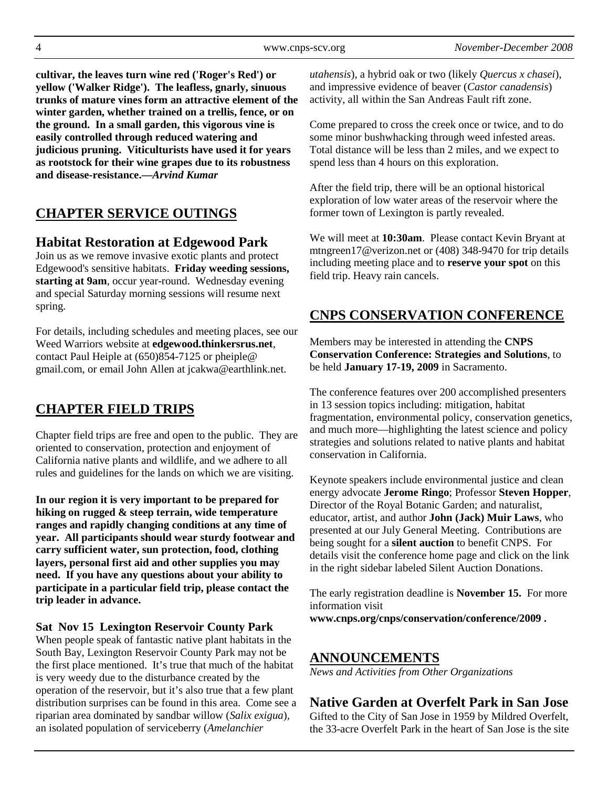**cultivar, the leaves turn wine red ('Roger's Red') or yellow ('Walker Ridge'). The leafless, gnarly, sinuous trunks of mature vines form an attractive element of the winter garden, whether trained on a trellis, fence, or on the ground. In a small garden, this vigorous vine is easily controlled through reduced watering and judicious pruning. Viticulturists have used it for years as rootstock for their wine grapes due to its robustness and disease-resistance.—***Arvind Kumar*

# **CHAPTER SERVICE OUTINGS**

## **Habitat Restoration at Edgewood Park**

Join us as we remove invasive exotic plants and protect Edgewood's sensitive habitats. **Friday weeding sessions, starting at 9am**, occur year-round. Wednesday evening and special Saturday morning sessions will resume next spring.

For details, including schedules and meeting places, see our Weed Warriors website at **edgewood.thinkersrus.net**, contact Paul Heiple at (650)854-7125 or pheiple@ gmail.com, or email John Allen at jcakwa@earthlink.net.

# **CHAPTER FIELD TRIPS**

Chapter field trips are free and open to the public. They are oriented to conservation, protection and enjoyment of California native plants and wildlife, and we adhere to all rules and guidelines for the lands on which we are visiting.

**In our region it is very important to be prepared for hiking on rugged & steep terrain, wide temperature ranges and rapidly changing conditions at any time of year. All participants should wear sturdy footwear and carry sufficient water, sun protection, food, clothing layers, personal first aid and other supplies you may need. If you have any questions about your ability to participate in a particular field trip, please contact the trip leader in advance.** 

#### **Sat Nov 15 Lexington Reservoir County Park**

When people speak of fantastic native plant habitats in the South Bay, Lexington Reservoir County Park may not be the first place mentioned. It's true that much of the habitat is very weedy due to the disturbance created by the operation of the reservoir, but it's also true that a few plant distribution surprises can be found in this area. Come see a riparian area dominated by sandbar willow (*Salix exigua*), an isolated population of serviceberry (*Amelanchier* 

*utahensis*), a hybrid oak or two (likely *Quercus x chasei*), and impressive evidence of beaver (*Castor canadensis*) activity, all within the San Andreas Fault rift zone.

Come prepared to cross the creek once or twice, and to do some minor bushwhacking through weed infested areas. Total distance will be less than 2 miles, and we expect to spend less than 4 hours on this exploration.

After the field trip, there will be an optional historical exploration of low water areas of the reservoir where the former town of Lexington is partly revealed.

We will meet at **10:30am**. Please contact Kevin Bryant at mtngreen17@verizon.net or (408) 348-9470 for trip details including meeting place and to **reserve your spot** on this field trip. Heavy rain cancels.

## **CNPS CONSERVATION CONFERENCE**

Members may be interested in attending the **CNPS Conservation Conference: Strategies and Solutions**, to be held **January 17-19, 2009** in Sacramento.

The conference features over 200 accomplished presenters in 13 session topics including: mitigation, habitat fragmentation, environmental policy, conservation genetics, and much more—highlighting the latest science and policy strategies and solutions related to native plants and habitat conservation in California.

Keynote speakers include environmental justice and clean energy advocate **Jerome Ringo**; Professor **Steven Hopper**, Director of the Royal Botanic Garden; and naturalist, educator, artist, and author **John (Jack) Muir Laws**, who presented at our July General Meeting. Contributions are being sought for a **silent auction** to benefit CNPS. For details visit the conference home page and click on the link in the right sidebar labeled Silent Auction Donations.

The early registration deadline is **November 15.** For more information visit **www.cnps.org/cnps/conservation/conference/2009 .**

## **ANNOUNCEMENTS**

*News and Activities from Other Organizations*

## **Native Garden at Overfelt Park in San Jose**

Gifted to the City of San Jose in 1959 by Mildred Overfelt, the 33-acre Overfelt Park in the heart of San Jose is the site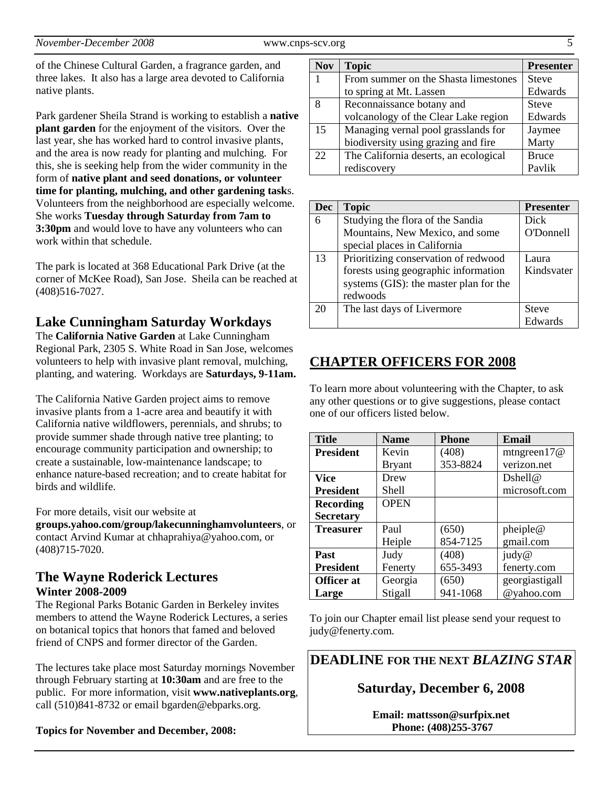of the Chinese Cultural Garden, a fragrance garden, and three lakes. It also has a large area devoted to California native plants.

Park gardener Sheila Strand is working to establish a **native plant garden** for the enjoyment of the visitors. Over the last year, she has worked hard to control invasive plants, and the area is now ready for planting and mulching. For this, she is seeking help from the wider community in the form of **native plant and seed donations, or volunteer time for planting, mulching, and other gardening task**s. Volunteers from the neighborhood are especially welcome. She works **Tuesday through Saturday from 7am to 3:30pm** and would love to have any volunteers who can work within that schedule.

The park is located at 368 Educational Park Drive (at the corner of McKee Road), San Jose. Sheila can be reached at (408)516-7027.

## **Lake Cunningham Saturday Workdays**

The **California Native Garden** at Lake Cunningham Regional Park, 2305 S. White Road in San Jose, welcomes volunteers to help with invasive plant removal, mulching, planting, and watering. Workdays are **Saturdays, 9-11am.**

The California Native Garden project aims to remove invasive plants from a 1-acre area and beautify it with California native wildflowers, perennials, and shrubs; to provide summer shade through native tree planting; to encourage community participation and ownership; to create a sustainable, low-maintenance landscape; to enhance nature-based recreation; and to create habitat for birds and wildlife.

For more details, visit our website at

**groups.yahoo.com/group/lakecunninghamvolunteers**, or contact Arvind Kumar at chhaprahiya@yahoo.com, or (408)715-7020.

### **The Wayne Roderick Lectures Winter 2008-2009**

The Regional Parks Botanic Garden in Berkeley invites members to attend the Wayne Roderick Lectures, a series on botanical topics that honors that famed and beloved friend of CNPS and former director of the Garden.

The lectures take place most Saturday mornings November through February starting at **10:30am** and are free to the public. For more information, visit **www.nativeplants.org**, call (510)841-8732 or email bgarden@ebparks.org.

**Topics for November and December, 2008:** 

| <b>Nov</b> | <b>Topic</b>                          | <b>Presenter</b> |
|------------|---------------------------------------|------------------|
| 1          | From summer on the Shasta limestones  | <b>Steve</b>     |
|            | to spring at Mt. Lassen               | Edwards          |
| 8          | Reconnaissance botany and             | <b>Steve</b>     |
|            | volcanology of the Clear Lake region  | Edwards          |
| 15         | Managing vernal pool grasslands for   | Jaymee           |
|            | biodiversity using grazing and fire   | Marty            |
| 22         | The California deserts, an ecological | <b>Bruce</b>     |
|            | rediscovery                           | Pavlik           |

| <b>Dec</b> | <b>Topic</b>                           | <b>Presenter</b> |
|------------|----------------------------------------|------------------|
| 6          | Studying the flora of the Sandia       | Dick             |
|            | Mountains, New Mexico, and some        | <b>O'Donnell</b> |
|            | special places in California           |                  |
| 13         | Prioritizing conservation of redwood   | Laura.           |
|            | forests using geographic information   | Kindsvater       |
|            | systems (GIS): the master plan for the |                  |
|            | redwoods                               |                  |
| 20         | The last days of Livermore             | <b>Steve</b>     |
|            |                                        | Edwards          |

## **CHAPTER OFFICERS FOR 2008**

To learn more about volunteering with the Chapter, to ask any other questions or to give suggestions, please contact one of our officers listed below.

| <b>Title</b>      | <b>Name</b>   | <b>Phone</b> | Email          |
|-------------------|---------------|--------------|----------------|
| <b>President</b>  | Kevin         | (408)        | mtngreen $17@$ |
|                   | <b>Bryant</b> | 353-8824     | verizon.net    |
| <b>Vice</b>       | Drew          |              | Dshell@        |
| <b>President</b>  | Shell         |              | microsoft.com  |
| <b>Recording</b>  | <b>OPEN</b>   |              |                |
| <b>Secretary</b>  |               |              |                |
| <b>Treasurer</b>  | Paul          | (650)        | pheiple@       |
|                   | Heiple        | 854-7125     | gmail.com      |
| <b>Past</b>       | Judy          | (408)        | judy@          |
| <b>President</b>  | Fenerty       | 655-3493     | fenerty.com    |
| <b>Officer</b> at | Georgia       | (650)        | georgiastigall |
| Large             | Stigall       | 941-1068     | @yahoo.com     |

To join our Chapter email list please send your request to judy@fenerty.com.

**DEADLINE FOR THE NEXT** *BLAZING STAR* 

### **Saturday, December 6, 2008**

**Email: mattsson@surfpix.net Phone: (408)255-3767**